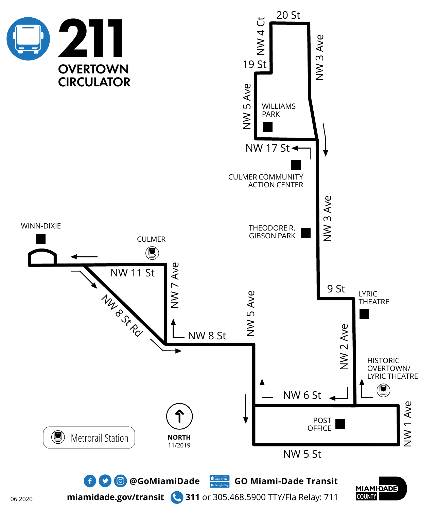